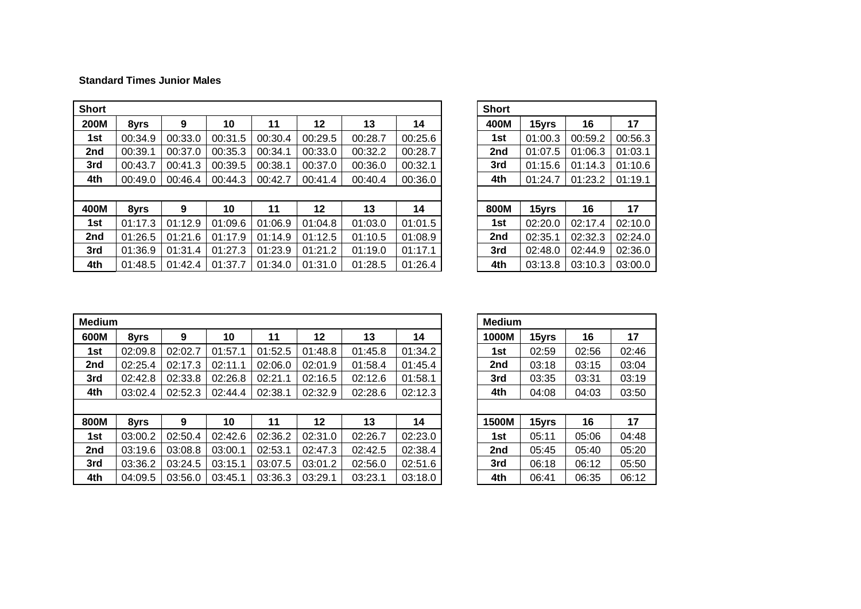## **Standard Times Junior Males**

| <b>Short</b> |         |         |         |         |         |         |         | <b>Short</b> |         |         |         |
|--------------|---------|---------|---------|---------|---------|---------|---------|--------------|---------|---------|---------|
| <b>200M</b>  | 8yrs    | 9       | 10      | 11      | 12      | 13      | 14      | 400M         | 15yrs   | 16      | 17      |
| 1st          | 00:34.9 | 00:33.0 | 00:31.5 | 00:30.4 | 00:29.5 | 00:28.7 | 00:25.6 | 1st          | 01:00.3 | 00:59.2 | 00:56.3 |
| 2nd          | 00:39.1 | 00:37.0 | 00:35.3 | 00:34.1 | 00:33.0 | 00:32.2 | 00:28.7 | 2nd          | 01:07.5 | 01:06.3 | 01:03.1 |
| 3rd          | 00:43.7 | 00:41.3 | 00:39.5 | 00:38.1 | 00:37.0 | 00:36.0 | 00:32.1 | 3rd          | 01:15.6 | 01:14.3 | 01:10.6 |
| 4th          | 00:49.0 | 00:46.4 | 00:44.3 | 00:42.7 | 00:41.4 | 00:40.4 | 00:36.0 | 4th          | 01:24.7 | 01:23.2 | 01:19.1 |
|              |         |         |         |         |         |         |         |              |         |         |         |
| 400M         | 8yrs    | 9       | 10      | 11      | 12      | 13      | 14      | 800M         | 15yrs   | 16      | 17      |
| 1st          | 01:17.3 | 01:12.9 | 01:09.6 | 01:06.9 | 01:04.8 | 01:03.0 | 01:01.5 | 1st          | 02:20.0 | 02:17.4 | 02:10.0 |
| 2nd          | 01:26.5 | 01:21.6 | 01:17.9 | 01:14.9 | 01:12.5 | 01:10.5 | 01:08.9 | 2nd          | 02:35.1 | 02:32.3 | 02:24.0 |
| 3rd          | 01:36.9 | 01:31.4 | 01:27.3 | 01:23.9 | 01:21.2 | 01:19.0 | 01:17.1 | 3rd          | 02:48.0 | 02:44.9 | 02:36.0 |
| 4th          | 01:48.5 | 01:42.4 | 01:37.7 | 01:34.0 | 01:31.0 | 01:28.5 | 01:26.4 | 4th          | 03:13.8 | 03:10.3 | 03:00.0 |

| <b>Short</b> |         |         |         |
|--------------|---------|---------|---------|
| 400M         | 15yrs   | 16      | 17      |
| 1st          | 01:00.3 | 00:59.2 | 00:56.3 |
| 2nd          | 01:07.5 | 01:06.3 | 01:03.1 |
| 3rd          | 01:15.6 | 01:14.3 | 01:10.6 |
| 4th          | 01:24.7 | 01:23.2 | 01:19.1 |
|              |         |         |         |
| 800M         | 15yrs   | 16      | 17      |
| 1st          | 02:20.0 | 02:17.4 | 02:10.0 |
| 2nd          | 02:35.1 | 02:32.3 | 02:24.0 |
| 3rd          | 02:48.0 | 02:44.9 | 02:36.0 |
| 4th          | 03:13.8 | 03:10.3 | 03:00.0 |

| <b>Medium</b> |         |         |         |         |         |         |         | <b>Medium</b> |       |       |       |
|---------------|---------|---------|---------|---------|---------|---------|---------|---------------|-------|-------|-------|
| 600M          | 8yrs    | 9       | 10      | 11      | 12      | 13      | 14      | 1000M         | 15yrs | 16    | 17    |
| 1st           | 02:09.8 | 02:02.7 | 01:57.1 | 01:52.5 | 01:48.8 | 01:45.8 | 01:34.2 | 1st           | 02:59 | 02:56 | 02:46 |
| 2nd           | 02:25.4 | 02:17.3 | 02:11.1 | 02:06.0 | 02:01.9 | 01:58.4 | 01:45.4 | 2nd           | 03:18 | 03:15 | 03:04 |
| 3rd           | 02:42.8 | 02:33.8 | 02:26.8 | 02:21.1 | 02:16.5 | 02:12.6 | 01:58.1 | 3rd           | 03:35 | 03:31 | 03:19 |
| 4th           | 03:02.4 | 02:52.3 | 02:44.4 | 02:38.1 | 02:32.9 | 02:28.6 | 02:12.3 | 4th           | 04:08 | 04:03 | 03:50 |
|               |         |         |         |         |         |         |         |               |       |       |       |
| 800M          | 8yrs    | 9       | 10      | 11      | 12      | 13      | 14      | 1500M         | 15yrs | 16    | 17    |
| 1st           | 03:00.2 | 02:50.4 | 02:42.6 | 02:36.2 | 02:31.0 | 02:26.7 | 02:23.0 | 1st           | 05:11 | 05:06 | 04:48 |
| 2nd           | 03:19.6 | 03:08.8 | 03:00.1 | 02:53.1 | 02:47.3 | 02:42.5 | 02:38.4 | 2nd           | 05:45 | 05:40 | 05:20 |
| 3rd           | 03:36.2 | 03:24.5 | 03:15.1 | 03:07.5 | 03:01.2 | 02:56.0 | 02:51.6 | 3rd           | 06:18 | 06:12 | 05:50 |
| 4th           | 04:09.5 | 03:56.0 | 03:45.1 | 03:36.3 | 03:29.1 | 03:23.1 | 03:18.0 | 4th           | 06:41 | 06:35 | 06:12 |

|       | Medium |       |       |  |  |  |  |  |  |  |  |
|-------|--------|-------|-------|--|--|--|--|--|--|--|--|
| 1000M | 15yrs  | 16    | 17    |  |  |  |  |  |  |  |  |
| 1st   | 02:59  | 02:56 | 02:46 |  |  |  |  |  |  |  |  |
| 2nd   | 03:18  | 03:15 | 03:04 |  |  |  |  |  |  |  |  |
| 3rd   | 03:35  | 03:31 | 03:19 |  |  |  |  |  |  |  |  |
| 4th   | 04:08  | 04:03 | 03:50 |  |  |  |  |  |  |  |  |
|       |        |       |       |  |  |  |  |  |  |  |  |
| 1500M | 15yrs  | 16    | 17    |  |  |  |  |  |  |  |  |
| 1st   | 05:11  | 05:06 | 04:48 |  |  |  |  |  |  |  |  |
| 2nd   | 05:45  | 05:40 | 05:20 |  |  |  |  |  |  |  |  |
| 3rd   | 06:18  | 06:12 | 05:50 |  |  |  |  |  |  |  |  |
| 4th   | 06:41  | 06:35 | 06:12 |  |  |  |  |  |  |  |  |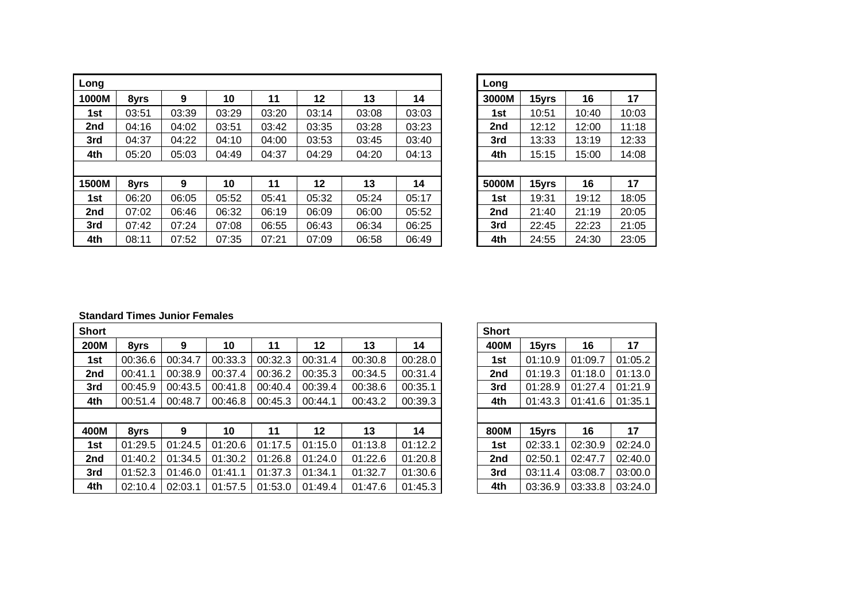| Long  |       |       |       |       |       |       |       | Long  |       |       |       |
|-------|-------|-------|-------|-------|-------|-------|-------|-------|-------|-------|-------|
| 1000M | 8yrs  | 9     | 10    | 11    | 12    | 13    | 14    | 3000M | 15yrs | 16    | 17    |
| 1st   | 03:51 | 03:39 | 03:29 | 03:20 | 03:14 | 03:08 | 03:03 | 1st   | 10:51 | 10:40 | 10:03 |
| 2nd   | 04:16 | 04:02 | 03:51 | 03:42 | 03:35 | 03:28 | 03:23 | 2nd   | 12:12 | 12:00 | 11:18 |
| 3rd   | 04:37 | 04:22 | 04:10 | 04:00 | 03:53 | 03:45 | 03:40 | 3rd   | 13:33 | 13:19 | 12:33 |
| 4th   | 05:20 | 05:03 | 04:49 | 04:37 | 04:29 | 04:20 | 04:13 | 4th   | 15:15 | 15:00 | 14:08 |
|       |       |       |       |       |       |       |       |       |       |       |       |
| 1500M | 8yrs  | 9     | 10    | 11    | 12    | 13    | 14    | 5000M | 15yrs | 16    | 17    |
| 1st   | 06:20 | 06:05 | 05:52 | 05:41 | 05:32 | 05:24 | 05:17 | 1st   | 19:31 | 19:12 | 18:05 |
| 2nd   | 07:02 | 06:46 | 06:32 | 06:19 | 06:09 | 06:00 | 05:52 | 2nd   | 21:40 | 21:19 | 20:05 |
| 3rd   | 07:42 | 07:24 | 07:08 | 06:55 | 06:43 | 06:34 | 06:25 | 3rd   | 22:45 | 22:23 | 21:05 |
| 4th   | 08:11 | 07:52 | 07:35 | 07:21 | 07:09 | 06:58 | 06:49 | 4th   | 24:55 | 24:30 | 23:05 |

| Long  |       |       |       |
|-------|-------|-------|-------|
| 3000M | 15yrs | 16    | 17    |
| 1st   | 10:51 | 10:40 | 10:03 |
| 2nd   | 12:12 | 12:00 | 11:18 |
| 3rd   | 13:33 | 13:19 | 12:33 |
| 4th   | 15:15 | 15:00 | 14:08 |
|       |       |       |       |
| 5000M | 15yrs | 16    | 17    |
| 1st   | 19:31 | 19:12 | 18:05 |
| 2nd   | 21:40 | 21:19 | 20:05 |
| 3rd   | 22:45 | 22:23 | 21:05 |
| 4th   | 24:55 | 24:30 | 23:05 |

## **Standard Times Junior Females**

| <b>Short</b> |         |         |         |         |         |         |         | <b>Short</b> |         |         |         |
|--------------|---------|---------|---------|---------|---------|---------|---------|--------------|---------|---------|---------|
| <b>200M</b>  | 8yrs    | 9       | 10      | 11      | 12      | 13      | 14      | 400M         | 15yrs   | 16      | 17      |
| 1st          | 00:36.6 | 00:34.7 | 00:33.3 | 00:32.3 | 00:31.4 | 00:30.8 | 00:28.0 | 1st          | 01:10.9 | 01:09.7 | 01:05.2 |
| 2nd          | 00:41.1 | 00:38.9 | 00:37.4 | 00:36.2 | 00:35.3 | 00:34.5 | 00:31.4 | 2nd          | 01:19.3 | 01:18.0 | 01:13.0 |
| 3rd          | 00:45.9 | 00:43.5 | 00:41.8 | 00:40.4 | 00:39.4 | 00:38.6 | 00:35.1 | 3rd          | 01:28.9 | 01:27.4 | 01:21.9 |
| 4th          | 00:51.4 | 00:48.7 | 00:46.8 | 00:45.3 | 00:44.1 | 00:43.2 | 00:39.3 | 4th          | 01:43.3 | 01:41.6 | 01:35.1 |
|              |         |         |         |         |         |         |         |              |         |         |         |
| 400M         | 8yrs    | 9       | 10      | 11      | 12      | 13      | 14      | 800M         | 15yrs   | 16      | 17      |
| 1st          | 01:29.5 | 01:24.5 | 01:20.6 | 01:17.5 | 01:15.0 | 01:13.8 | 01:12.2 | 1st          | 02:33.1 | 02:30.9 | 02:24.0 |
| 2nd          | 01:40.2 | 01:34.5 | 01:30.2 | 01:26.8 | 01:24.0 | 01:22.6 | 01:20.8 | 2nd          | 02:50.1 | 02:47.7 | 02:40.0 |
| 3rd          | 01:52.3 | 01:46.0 | 01:41.1 | 01:37.3 | 01:34.1 | 01:32.7 | 01:30.6 | 3rd          | 03:11.4 | 03:08.7 | 03:00.0 |
| 4th          | 02:10.4 | 02:03.1 | 01:57.5 | 01:53.0 | 01:49.4 | 01:47.6 | 01:45.3 | 4th          | 03:36.9 | 03:33.8 | 03:24.0 |

| <b>Short</b>    |         |         |         |
|-----------------|---------|---------|---------|
| 400M            | 15yrs   | 16      | 17      |
| 1st             | 01:10.9 | 01:09.7 | 01:05.2 |
| 2nd             | 01:19.3 | 01:18.0 | 01:13.0 |
| 3rd             | 01:28.9 | 01:27.4 | 01:21.9 |
| 4th             | 01:43.3 | 01:41.6 | 01:35.1 |
|                 |         |         |         |
| 800M            | 15yrs   | 16      | 17      |
| 1st             | 02:33.1 | 02:30.9 | 02:24.0 |
| 2 <sub>nd</sub> | 02:50.1 | 02:47.7 | 02:40.0 |
| 3rd             | 03:11.4 | 03:08.7 | 03:00.0 |
| 4th             | 03:36.9 | 03:33.8 | 03:24.0 |